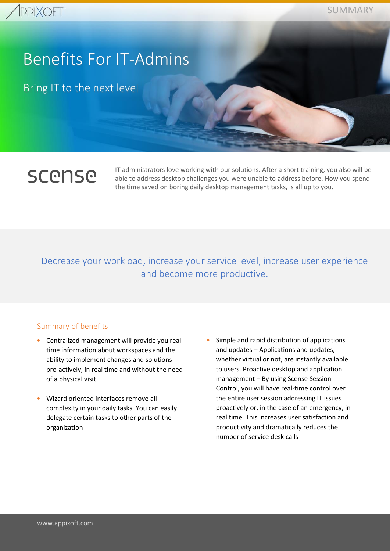# Benefits For IT-Admins

Bring IT to the next level

# **SCONSO**

IT administrators love working with our solutions. After a short training, you also will be able to address desktop challenges you were unable to address before. How you spend the time saved on boring daily desktop management tasks, is all up to you.

### Decrease your workload, increase your service level, increase user experience and become more productive.

### Summary of benefits

- Centralized management will provide you real time information about workspaces and the ability to implement changes and solutions pro-actively, in real time and without the need of a physical visit.
- Wizard oriented interfaces remove all complexity in your daily tasks. You can easily delegate certain tasks to other parts of the organization
- Simple and rapid distribution of applications and updates – Applications and updates, whether virtual or not, are instantly available to users. Proactive desktop and application management – By using Scense Session Control, you will have real-time control over the entire user session addressing IT issues proactively or, in the case of an emergency, in real time. This increases user satisfaction and productivity and dramatically reduces the number of service desk calls